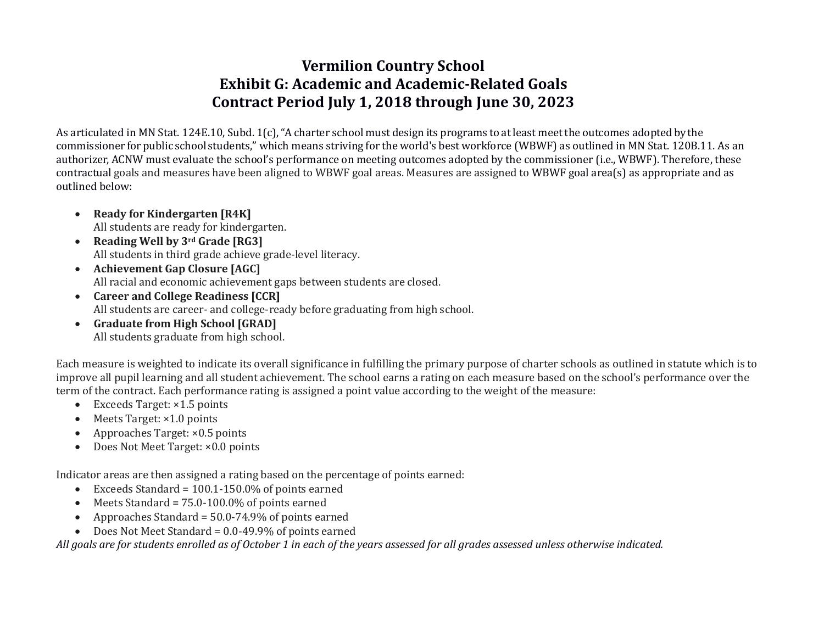# **Vermilion Country School Exhibit G: Academic and Academic-Related Goals Contract Period July 1, 2018 through June 30, 2023**

As articulated in MN Stat. 124E.10, Subd. 1(c),"A charter school must design its programs to at least meet the outcomes adopted by the commissioner for public school students," which means striving for the world's best workforce (WBWF) as outlined in MN Stat. 120B.11. As an authorizer, ACNW must evaluate the school's performance on meeting outcomes adopted by the commissioner (i.e., WBWF). Therefore, these contractual goals and measures have been aligned to WBWF goal areas. Measures are assigned to WBWF goal area(s) as appropriate and as outlined below:

- **Ready for Kindergarten [R4K]** All students are ready for kindergarten.
- **Reading Well by 3rd Grade [RG3]** All students in third grade achieve grade-level literacy.
- **Achievement Gap Closure [AGC]** All racial and economic achievement gaps between students are closed.
- **Career and College Readiness [CCR]** All students are career- and college-ready before graduating from high school.
- **Graduate from High School [GRAD]** All students graduate from high school.

Each measure is weighted to indicate its overall significance in fulfilling the primary purpose of charter schools as outlined in statute which is to improve all pupil learning and all student achievement. The school earns a rating on each measure based on the school's performance over the term of the contract. Each performance rating is assigned a point value according to the weight of the measure:

- Exceeds Target: ×1.5 points
- Meets Target: ×1.0 points
- Approaches Target: ×0.5 points
- Does Not Meet Target: ×0.0 points

Indicator areas are then assigned a rating based on the percentage of points earned:

- Exceeds Standard = 100.1-150.0% of points earned
- Meets Standard = 75.0-100.0% of points earned
- Approaches Standard =  $50.0 74.9\%$  of points earned
- Does Not Meet Standard = 0.0-49.9% of points earned

*All goals are for students enrolled as of October 1 in each of the years assessed for all grades assessed unless otherwise indicated.*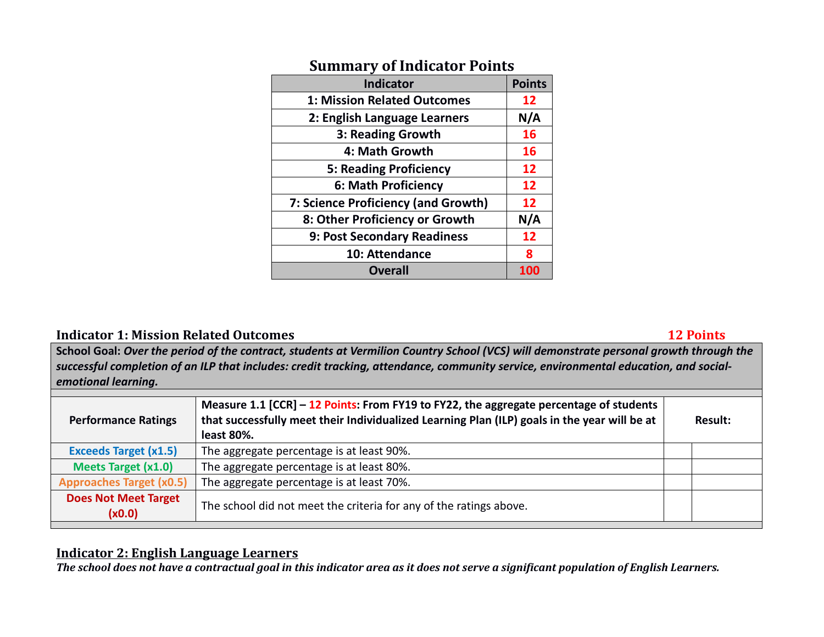| <b>Indicator</b>                    | <b>Points</b> |
|-------------------------------------|---------------|
| <b>1: Mission Related Outcomes</b>  | 12            |
| 2: English Language Learners        | N/A           |
| 3: Reading Growth                   | 16            |
| 4: Math Growth                      | <b>16</b>     |
| <b>5: Reading Proficiency</b>       | 12            |
| 6: Math Proficiency                 | 12            |
| 7: Science Proficiency (and Growth) | 12            |
| 8: Other Proficiency or Growth      | N/A           |
| 9: Post Secondary Readiness         | 12            |
| 10: Attendance                      | 8             |
| <b>Overall</b>                      | 100           |

## **Summary of Indicator Points**

#### **Indicator 1: Mission Related Outcomes** 12 **Points** 12 **Points**

**School Goal:** *Over the period of the contract, students at Vermilion Country School (VCS) will demonstrate personal growth through the successful completion of an ILP that includes: credit tracking, attendance, community service, environmental education, and socialemotional learning.*

| <b>Performance Ratings</b>            | Measure 1.1 [CCR] - 12 Points: From FY19 to FY22, the aggregate percentage of students<br>that successfully meet their Individualized Learning Plan (ILP) goals in the year will be at<br>least 80%. | <b>Result:</b> |
|---------------------------------------|------------------------------------------------------------------------------------------------------------------------------------------------------------------------------------------------------|----------------|
| <b>Exceeds Target (x1.5)</b>          | The aggregate percentage is at least 90%.                                                                                                                                                            |                |
| <b>Meets Target (x1.0)</b>            | The aggregate percentage is at least 80%.                                                                                                                                                            |                |
| <b>Approaches Target (x0.5)</b>       | The aggregate percentage is at least 70%.                                                                                                                                                            |                |
| <b>Does Not Meet Target</b><br>(x0.0) | The school did not meet the criteria for any of the ratings above.                                                                                                                                   |                |

#### **Indicator 2: English Language Learners**

*The school does not have a contractual goal in this indicator area as it does not serve a significant population of English Learners.*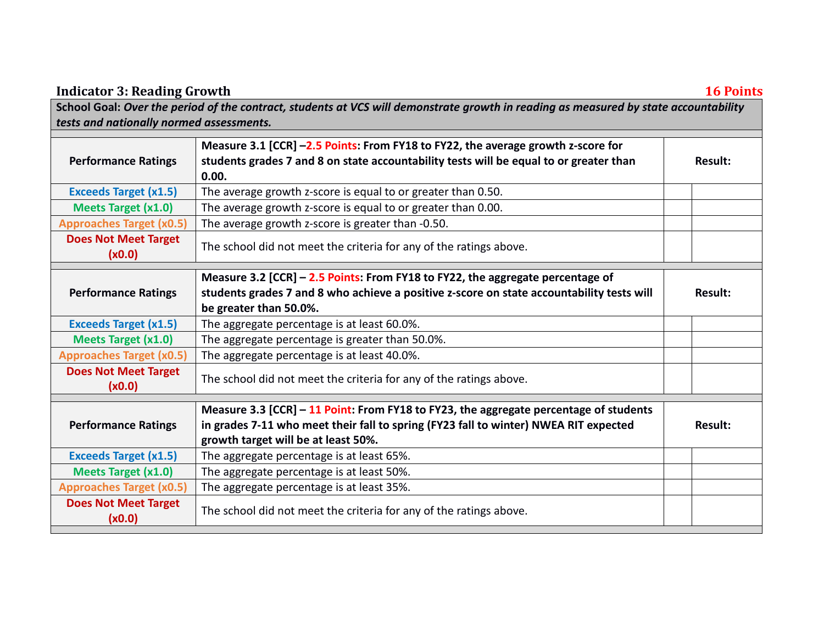| School Goal: Over the period of the contract, students at VCS will demonstrate growth in reading as measured by state accountability |                                                                                                                                                                                                                      |                |  |
|--------------------------------------------------------------------------------------------------------------------------------------|----------------------------------------------------------------------------------------------------------------------------------------------------------------------------------------------------------------------|----------------|--|
| tests and nationally normed assessments.                                                                                             |                                                                                                                                                                                                                      |                |  |
| <b>Performance Ratings</b>                                                                                                           | Measure 3.1 [CCR] -2.5 Points: From FY18 to FY22, the average growth z-score for<br>students grades 7 and 8 on state accountability tests will be equal to or greater than<br>0.00.                                  | <b>Result:</b> |  |
| <b>Exceeds Target (x1.5)</b>                                                                                                         | The average growth z-score is equal to or greater than 0.50.                                                                                                                                                         |                |  |
| <b>Meets Target (x1.0)</b>                                                                                                           | The average growth z-score is equal to or greater than 0.00.                                                                                                                                                         |                |  |
| <b>Approaches Target (x0.5)</b>                                                                                                      | The average growth z-score is greater than -0.50.                                                                                                                                                                    |                |  |
| <b>Does Not Meet Target</b><br>(x0.0)                                                                                                | The school did not meet the criteria for any of the ratings above.                                                                                                                                                   |                |  |
| <b>Performance Ratings</b>                                                                                                           | Measure 3.2 [CCR] - 2.5 Points: From FY18 to FY22, the aggregate percentage of<br>students grades 7 and 8 who achieve a positive z-score on state accountability tests will<br>be greater than 50.0%.                | <b>Result:</b> |  |
| <b>Exceeds Target (x1.5)</b>                                                                                                         | The aggregate percentage is at least 60.0%.                                                                                                                                                                          |                |  |
| <b>Meets Target (x1.0)</b>                                                                                                           | The aggregate percentage is greater than 50.0%.                                                                                                                                                                      |                |  |
| <b>Approaches Target (x0.5)</b>                                                                                                      | The aggregate percentage is at least 40.0%.                                                                                                                                                                          |                |  |
| <b>Does Not Meet Target</b><br>(x0.0)                                                                                                | The school did not meet the criteria for any of the ratings above.                                                                                                                                                   |                |  |
| <b>Performance Ratings</b>                                                                                                           | Measure 3.3 [CCR] - 11 Point: From FY18 to FY23, the aggregate percentage of students<br>in grades 7-11 who meet their fall to spring (FY23 fall to winter) NWEA RIT expected<br>growth target will be at least 50%. | <b>Result:</b> |  |
| <b>Exceeds Target (x1.5)</b>                                                                                                         | The aggregate percentage is at least 65%.                                                                                                                                                                            |                |  |
| <b>Meets Target (x1.0)</b>                                                                                                           | The aggregate percentage is at least 50%.                                                                                                                                                                            |                |  |
| <b>Approaches Target (x0.5)</b>                                                                                                      | The aggregate percentage is at least 35%.                                                                                                                                                                            |                |  |
| <b>Does Not Meet Target</b><br>(x0.0)                                                                                                | The school did not meet the criteria for any of the ratings above.                                                                                                                                                   |                |  |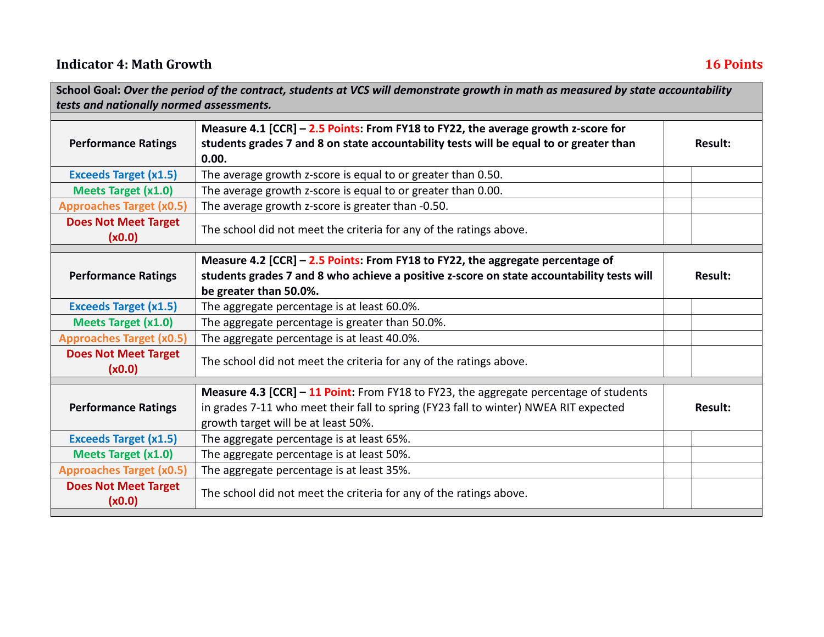| School Goal: Over the period of the contract, students at VCS will demonstrate growth in math as measured by state accountability |                                                                                                                                                                                                                      |                |  |
|-----------------------------------------------------------------------------------------------------------------------------------|----------------------------------------------------------------------------------------------------------------------------------------------------------------------------------------------------------------------|----------------|--|
| tests and nationally normed assessments.                                                                                          |                                                                                                                                                                                                                      |                |  |
| <b>Performance Ratings</b>                                                                                                        | Measure 4.1 [CCR] - 2.5 Points: From FY18 to FY22, the average growth z-score for<br>students grades 7 and 8 on state accountability tests will be equal to or greater than<br>0.00.                                 | <b>Result:</b> |  |
| <b>Exceeds Target (x1.5)</b>                                                                                                      | The average growth z-score is equal to or greater than 0.50.                                                                                                                                                         |                |  |
| <b>Meets Target (x1.0)</b>                                                                                                        | The average growth z-score is equal to or greater than 0.00.                                                                                                                                                         |                |  |
| <b>Approaches Target (x0.5)</b>                                                                                                   | The average growth z-score is greater than -0.50.                                                                                                                                                                    |                |  |
| <b>Does Not Meet Target</b><br>(x0.0)                                                                                             | The school did not meet the criteria for any of the ratings above.                                                                                                                                                   |                |  |
| <b>Performance Ratings</b>                                                                                                        | Measure 4.2 [CCR] - 2.5 Points: From FY18 to FY22, the aggregate percentage of<br>students grades 7 and 8 who achieve a positive z-score on state accountability tests will<br>be greater than 50.0%.                | <b>Result:</b> |  |
| <b>Exceeds Target (x1.5)</b>                                                                                                      | The aggregate percentage is at least 60.0%.                                                                                                                                                                          |                |  |
| <b>Meets Target (x1.0)</b>                                                                                                        | The aggregate percentage is greater than 50.0%.                                                                                                                                                                      |                |  |
| <b>Approaches Target (x0.5)</b>                                                                                                   | The aggregate percentage is at least 40.0%.                                                                                                                                                                          |                |  |
| <b>Does Not Meet Target</b><br>(x0.0)                                                                                             | The school did not meet the criteria for any of the ratings above.                                                                                                                                                   |                |  |
| <b>Performance Ratings</b>                                                                                                        | Measure 4.3 [CCR] - 11 Point: From FY18 to FY23, the aggregate percentage of students<br>in grades 7-11 who meet their fall to spring (FY23 fall to winter) NWEA RIT expected<br>growth target will be at least 50%. | <b>Result:</b> |  |
| <b>Exceeds Target (x1.5)</b>                                                                                                      | The aggregate percentage is at least 65%.                                                                                                                                                                            |                |  |
| <b>Meets Target (x1.0)</b>                                                                                                        | The aggregate percentage is at least 50%.                                                                                                                                                                            |                |  |
| <b>Approaches Target (x0.5)</b>                                                                                                   | The aggregate percentage is at least 35%.                                                                                                                                                                            |                |  |
| <b>Does Not Meet Target</b><br>(x0.0)                                                                                             | The school did not meet the criteria for any of the ratings above.                                                                                                                                                   |                |  |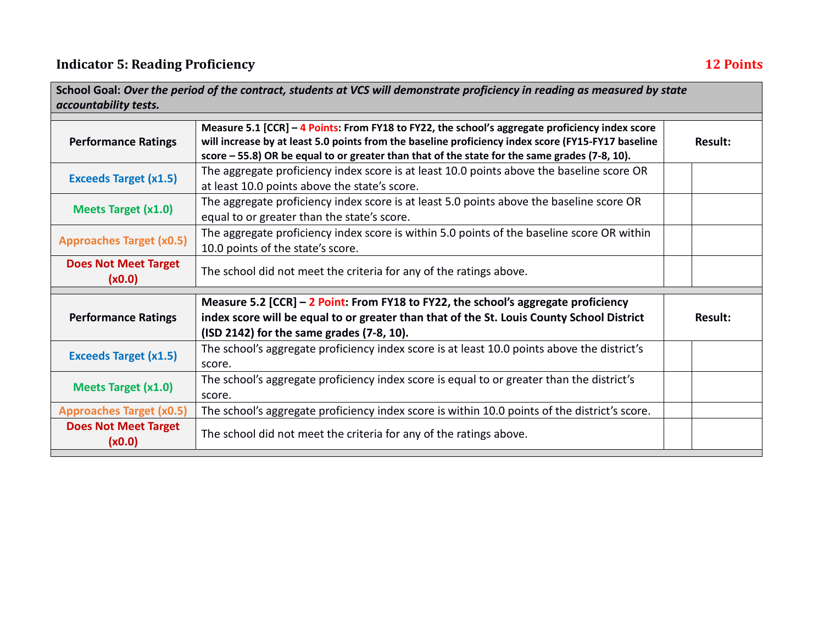| accountability tests.                 | School Goal: Over the period of the contract, students at VCS will demonstrate proficiency in reading as measured by state                                                                                                                                                                             |                |
|---------------------------------------|--------------------------------------------------------------------------------------------------------------------------------------------------------------------------------------------------------------------------------------------------------------------------------------------------------|----------------|
| <b>Performance Ratings</b>            | Measure 5.1 [CCR] - 4 Points: From FY18 to FY22, the school's aggregate proficiency index score<br>will increase by at least 5.0 points from the baseline proficiency index score (FY15-FY17 baseline<br>score - 55.8) OR be equal to or greater than that of the state for the same grades (7-8, 10). | <b>Result:</b> |
| <b>Exceeds Target (x1.5)</b>          | The aggregate proficiency index score is at least 10.0 points above the baseline score OR<br>at least 10.0 points above the state's score.                                                                                                                                                             |                |
| <b>Meets Target (x1.0)</b>            | The aggregate proficiency index score is at least 5.0 points above the baseline score OR<br>equal to or greater than the state's score.                                                                                                                                                                |                |
| <b>Approaches Target (x0.5)</b>       | The aggregate proficiency index score is within 5.0 points of the baseline score OR within<br>10.0 points of the state's score.                                                                                                                                                                        |                |
| <b>Does Not Meet Target</b><br>(x0.0) | The school did not meet the criteria for any of the ratings above.                                                                                                                                                                                                                                     |                |
|                                       | Measure 5.2 $[CCR]$ – 2 Point: From FY18 to FY22, the school's aggregate proficiency                                                                                                                                                                                                                   |                |
| <b>Performance Ratings</b>            | index score will be equal to or greater than that of the St. Louis County School District<br>(ISD 2142) for the same grades (7-8, 10).                                                                                                                                                                 | <b>Result:</b> |
| <b>Exceeds Target (x1.5)</b>          | The school's aggregate proficiency index score is at least 10.0 points above the district's<br>score.                                                                                                                                                                                                  |                |
| <b>Meets Target (x1.0)</b>            | The school's aggregate proficiency index score is equal to or greater than the district's<br>score.                                                                                                                                                                                                    |                |
| <b>Approaches Target (x0.5)</b>       | The school's aggregate proficiency index score is within 10.0 points of the district's score.                                                                                                                                                                                                          |                |
| <b>Does Not Meet Target</b><br>(x0.0) | The school did not meet the criteria for any of the ratings above.                                                                                                                                                                                                                                     |                |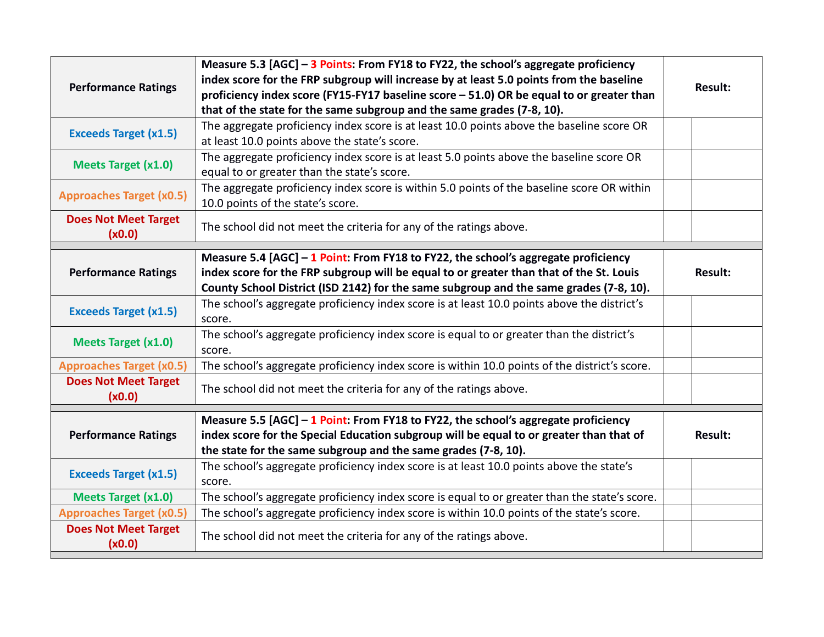|                                       | Measure 5.3 [AGC] - 3 Points: From FY18 to FY22, the school's aggregate proficiency<br>index score for the FRP subgroup will increase by at least 5.0 points from the baseline |                |
|---------------------------------------|--------------------------------------------------------------------------------------------------------------------------------------------------------------------------------|----------------|
| <b>Performance Ratings</b>            | proficiency index score (FY15-FY17 baseline score - 51.0) OR be equal to or greater than                                                                                       | <b>Result:</b> |
|                                       | that of the state for the same subgroup and the same grades (7-8, 10).                                                                                                         |                |
| <b>Exceeds Target (x1.5)</b>          | The aggregate proficiency index score is at least 10.0 points above the baseline score OR                                                                                      |                |
|                                       | at least 10.0 points above the state's score.                                                                                                                                  |                |
| <b>Meets Target (x1.0)</b>            | The aggregate proficiency index score is at least 5.0 points above the baseline score OR                                                                                       |                |
|                                       | equal to or greater than the state's score.                                                                                                                                    |                |
| <b>Approaches Target (x0.5)</b>       | The aggregate proficiency index score is within 5.0 points of the baseline score OR within                                                                                     |                |
|                                       | 10.0 points of the state's score.                                                                                                                                              |                |
| <b>Does Not Meet Target</b>           | The school did not meet the criteria for any of the ratings above.                                                                                                             |                |
| (x0.0)                                |                                                                                                                                                                                |                |
|                                       | Measure 5.4 $[AGC] - 1$ Point: From FY18 to FY22, the school's aggregate proficiency                                                                                           |                |
| <b>Performance Ratings</b>            | index score for the FRP subgroup will be equal to or greater than that of the St. Louis                                                                                        | <b>Result:</b> |
|                                       | County School District (ISD 2142) for the same subgroup and the same grades (7-8, 10).                                                                                         |                |
| <b>Exceeds Target (x1.5)</b>          | The school's aggregate proficiency index score is at least 10.0 points above the district's                                                                                    |                |
|                                       | score.                                                                                                                                                                         |                |
| <b>Meets Target (x1.0)</b>            | The school's aggregate proficiency index score is equal to or greater than the district's                                                                                      |                |
|                                       | score.                                                                                                                                                                         |                |
| <b>Approaches Target (x0.5)</b>       | The school's aggregate proficiency index score is within 10.0 points of the district's score.                                                                                  |                |
| <b>Does Not Meet Target</b>           | The school did not meet the criteria for any of the ratings above.                                                                                                             |                |
| (x0.0)                                |                                                                                                                                                                                |                |
|                                       | Measure 5.5 $[AGC] - 1$ Point: From FY18 to FY22, the school's aggregate proficiency                                                                                           |                |
| <b>Performance Ratings</b>            | index score for the Special Education subgroup will be equal to or greater than that of                                                                                        | <b>Result:</b> |
|                                       | the state for the same subgroup and the same grades (7-8, 10).                                                                                                                 |                |
| <b>Exceeds Target (x1.5)</b>          | The school's aggregate proficiency index score is at least 10.0 points above the state's                                                                                       |                |
|                                       | score.                                                                                                                                                                         |                |
| <b>Meets Target (x1.0)</b>            | The school's aggregate proficiency index score is equal to or greater than the state's score.                                                                                  |                |
| <b>Approaches Target (x0.5)</b>       | The school's aggregate proficiency index score is within 10.0 points of the state's score.                                                                                     |                |
| <b>Does Not Meet Target</b><br>(x0.0) | The school did not meet the criteria for any of the ratings above.                                                                                                             |                |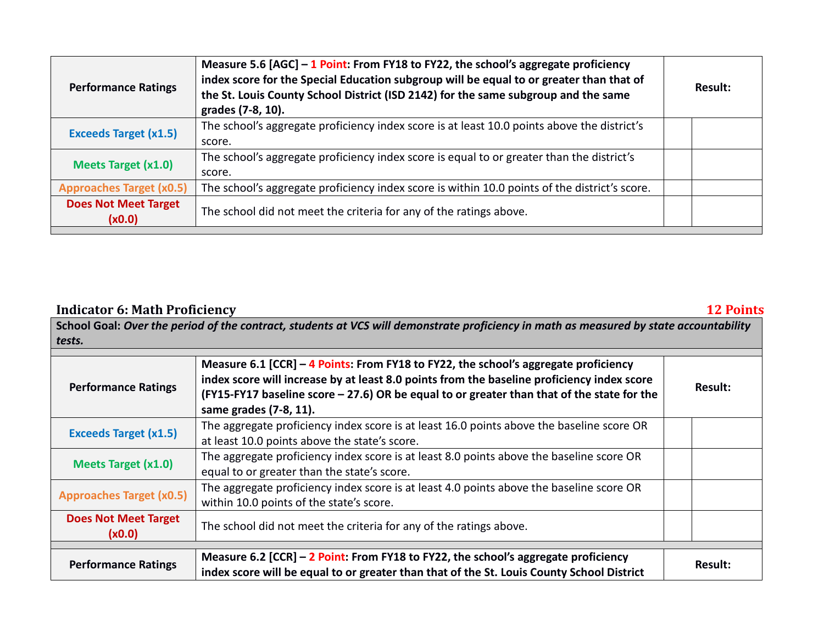| <b>Performance Ratings</b>            | Measure 5.6 $[AGC]$ – 1 Point: From FY18 to FY22, the school's aggregate proficiency<br>index score for the Special Education subgroup will be equal to or greater than that of<br>the St. Louis County School District (ISD 2142) for the same subgroup and the same<br>grades (7-8, 10). | Result: |
|---------------------------------------|--------------------------------------------------------------------------------------------------------------------------------------------------------------------------------------------------------------------------------------------------------------------------------------------|---------|
| <b>Exceeds Target (x1.5)</b>          | The school's aggregate proficiency index score is at least 10.0 points above the district's<br>score.                                                                                                                                                                                      |         |
| <b>Meets Target (x1.0)</b>            | The school's aggregate proficiency index score is equal to or greater than the district's<br>score.                                                                                                                                                                                        |         |
| <b>Approaches Target (x0.5)</b>       | The school's aggregate proficiency index score is within 10.0 points of the district's score.                                                                                                                                                                                              |         |
| <b>Does Not Meet Target</b><br>(x0.0) | The school did not meet the criteria for any of the ratings above.                                                                                                                                                                                                                         |         |

## **Indicator 6: Math Proficiency 12 Points**

**School Goal:** *Over the period of the contract, students at VCS will demonstrate proficiency in math as measured by state accountability tests.*

| <b>Performance Ratings</b>            | Measure 6.1 $[CCR]$ – 4 Points: From FY18 to FY22, the school's aggregate proficiency<br>index score will increase by at least 8.0 points from the baseline proficiency index score<br>(FY15-FY17 baseline score - 27.6) OR be equal to or greater than that of the state for the<br>same grades (7-8, 11). | Result:        |
|---------------------------------------|-------------------------------------------------------------------------------------------------------------------------------------------------------------------------------------------------------------------------------------------------------------------------------------------------------------|----------------|
| <b>Exceeds Target (x1.5)</b>          | The aggregate proficiency index score is at least 16.0 points above the baseline score OR<br>at least 10.0 points above the state's score.                                                                                                                                                                  |                |
| <b>Meets Target (x1.0)</b>            | The aggregate proficiency index score is at least 8.0 points above the baseline score OR<br>equal to or greater than the state's score.                                                                                                                                                                     |                |
| <b>Approaches Target (x0.5)</b>       | The aggregate proficiency index score is at least 4.0 points above the baseline score OR<br>within 10.0 points of the state's score.                                                                                                                                                                        |                |
| <b>Does Not Meet Target</b><br>(x0.0) | The school did not meet the criteria for any of the ratings above.                                                                                                                                                                                                                                          |                |
|                                       |                                                                                                                                                                                                                                                                                                             |                |
| <b>Performance Ratings</b>            | Measure 6.2 [CCR] - 2 Point: From FY18 to FY22, the school's aggregate proficiency<br>index score will be equal to or greater than that of the St. Louis County School District                                                                                                                             | <b>Result:</b> |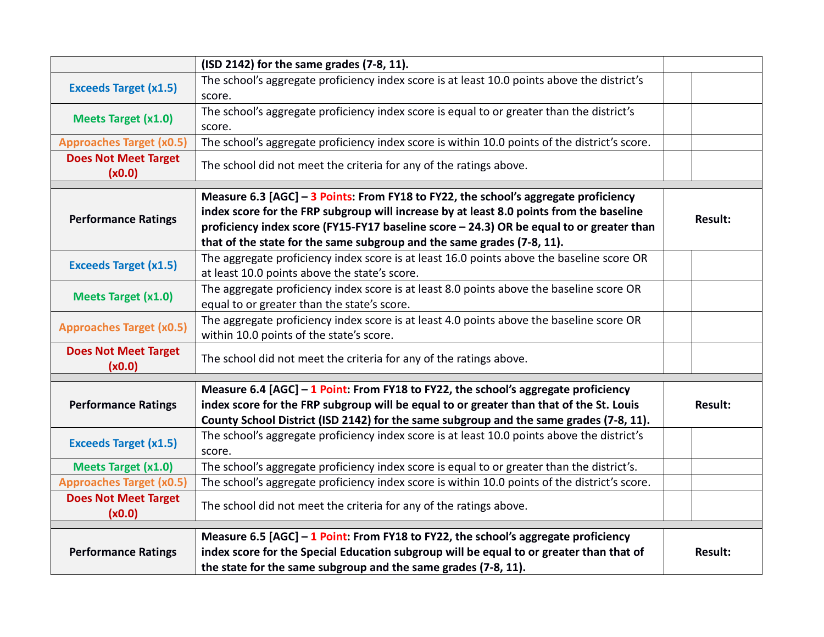|                                       | (ISD 2142) for the same grades (7-8, 11).                                                                                                                                                                                                                                                                                                            |                |
|---------------------------------------|------------------------------------------------------------------------------------------------------------------------------------------------------------------------------------------------------------------------------------------------------------------------------------------------------------------------------------------------------|----------------|
| <b>Exceeds Target (x1.5)</b>          | The school's aggregate proficiency index score is at least 10.0 points above the district's<br>score.                                                                                                                                                                                                                                                |                |
| <b>Meets Target (x1.0)</b>            | The school's aggregate proficiency index score is equal to or greater than the district's<br>score.                                                                                                                                                                                                                                                  |                |
| <b>Approaches Target (x0.5)</b>       | The school's aggregate proficiency index score is within 10.0 points of the district's score.                                                                                                                                                                                                                                                        |                |
| <b>Does Not Meet Target</b><br>(x0.0) | The school did not meet the criteria for any of the ratings above.                                                                                                                                                                                                                                                                                   |                |
| <b>Performance Ratings</b>            | Measure 6.3 [AGC] - 3 Points: From FY18 to FY22, the school's aggregate proficiency<br>index score for the FRP subgroup will increase by at least 8.0 points from the baseline<br>proficiency index score (FY15-FY17 baseline score - 24.3) OR be equal to or greater than<br>that of the state for the same subgroup and the same grades (7-8, 11). | <b>Result:</b> |
| <b>Exceeds Target (x1.5)</b>          | The aggregate proficiency index score is at least 16.0 points above the baseline score OR<br>at least 10.0 points above the state's score.                                                                                                                                                                                                           |                |
| <b>Meets Target (x1.0)</b>            | The aggregate proficiency index score is at least 8.0 points above the baseline score OR<br>equal to or greater than the state's score.                                                                                                                                                                                                              |                |
| <b>Approaches Target (x0.5)</b>       | The aggregate proficiency index score is at least 4.0 points above the baseline score OR<br>within 10.0 points of the state's score.                                                                                                                                                                                                                 |                |
| <b>Does Not Meet Target</b><br>(x0.0) | The school did not meet the criteria for any of the ratings above.                                                                                                                                                                                                                                                                                   |                |
|                                       | Measure 6.4 $[AGC] - 1$ Point: From FY18 to FY22, the school's aggregate proficiency                                                                                                                                                                                                                                                                 |                |
| <b>Performance Ratings</b>            | index score for the FRP subgroup will be equal to or greater than that of the St. Louis<br>County School District (ISD 2142) for the same subgroup and the same grades (7-8, 11).                                                                                                                                                                    | <b>Result:</b> |
| <b>Exceeds Target (x1.5)</b>          | The school's aggregate proficiency index score is at least 10.0 points above the district's<br>score.                                                                                                                                                                                                                                                |                |
| <b>Meets Target (x1.0)</b>            | The school's aggregate proficiency index score is equal to or greater than the district's.                                                                                                                                                                                                                                                           |                |
| <b>Approaches Target (x0.5)</b>       | The school's aggregate proficiency index score is within 10.0 points of the district's score.                                                                                                                                                                                                                                                        |                |
| <b>Does Not Meet Target</b><br>(x0.0) | The school did not meet the criteria for any of the ratings above.                                                                                                                                                                                                                                                                                   |                |
| <b>Performance Ratings</b>            | Measure 6.5 $[AGC] - 1$ Point: From FY18 to FY22, the school's aggregate proficiency<br>index score for the Special Education subgroup will be equal to or greater than that of<br>the state for the same subgroup and the same grades (7-8, 11).                                                                                                    | <b>Result:</b> |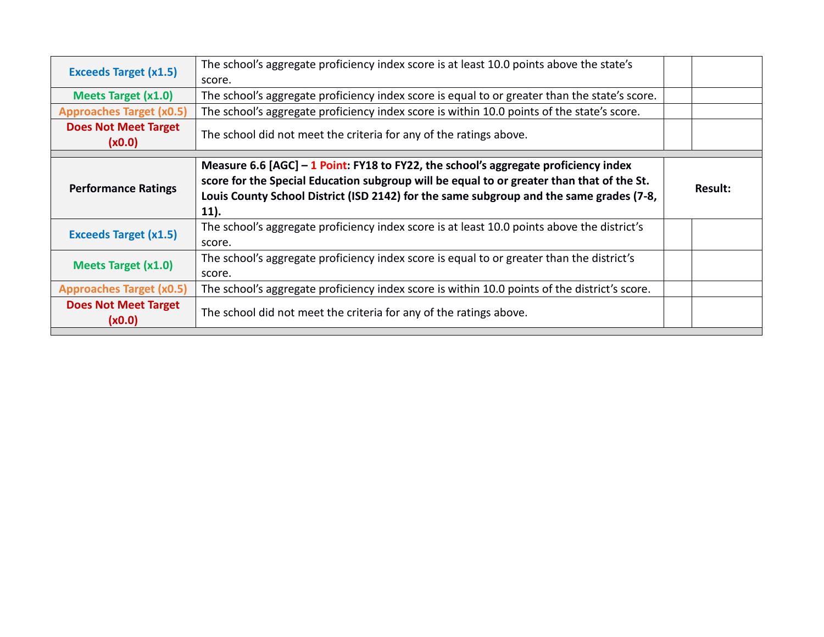| <b>Exceeds Target (x1.5)</b>          | The school's aggregate proficiency index score is at least 10.0 points above the state's<br>score.                                                                                                                                                                                    |         |
|---------------------------------------|---------------------------------------------------------------------------------------------------------------------------------------------------------------------------------------------------------------------------------------------------------------------------------------|---------|
| <b>Meets Target (x1.0)</b>            | The school's aggregate proficiency index score is equal to or greater than the state's score.                                                                                                                                                                                         |         |
| <b>Approaches Target (x0.5)</b>       | The school's aggregate proficiency index score is within 10.0 points of the state's score.                                                                                                                                                                                            |         |
| <b>Does Not Meet Target</b><br>(x0.0) | The school did not meet the criteria for any of the ratings above.                                                                                                                                                                                                                    |         |
| <b>Performance Ratings</b>            | Measure 6.6 $[AGC] - 1$ Point: FY18 to FY22, the school's aggregate proficiency index<br>score for the Special Education subgroup will be equal to or greater than that of the St.<br>Louis County School District (ISD 2142) for the same subgroup and the same grades (7-8,<br>11). | Result: |
| <b>Exceeds Target (x1.5)</b>          | The school's aggregate proficiency index score is at least 10.0 points above the district's<br>score.                                                                                                                                                                                 |         |
| <b>Meets Target (x1.0)</b>            | The school's aggregate proficiency index score is equal to or greater than the district's<br>score.                                                                                                                                                                                   |         |
| <b>Approaches Target (x0.5)</b>       | The school's aggregate proficiency index score is within 10.0 points of the district's score.                                                                                                                                                                                         |         |
| <b>Does Not Meet Target</b><br>(x0.0) | The school did not meet the criteria for any of the ratings above.                                                                                                                                                                                                                    |         |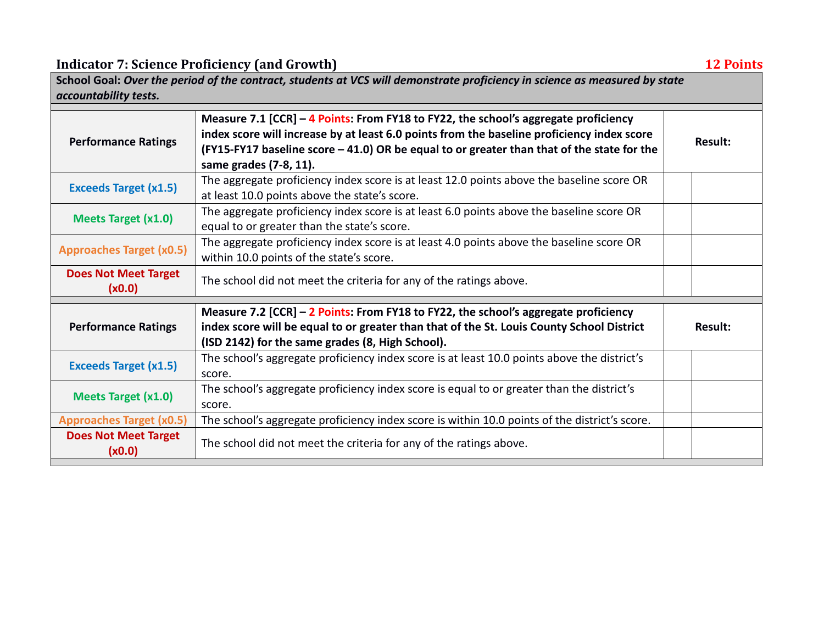**Indicator 7: Science Proficiency (and Growth) 12 Points**

|                                       | School Goal: Over the period of the contract, students at VCS will demonstrate proficiency in science as measured by state                                                                                                                                                                                |                |
|---------------------------------------|-----------------------------------------------------------------------------------------------------------------------------------------------------------------------------------------------------------------------------------------------------------------------------------------------------------|----------------|
| accountability tests.                 |                                                                                                                                                                                                                                                                                                           |                |
| <b>Performance Ratings</b>            | Measure 7.1 [CCR] - 4 Points: From FY18 to FY22, the school's aggregate proficiency<br>index score will increase by at least 6.0 points from the baseline proficiency index score<br>(FY15-FY17 baseline score - 41.0) OR be equal to or greater than that of the state for the<br>same grades (7-8, 11). | <b>Result:</b> |
| <b>Exceeds Target (x1.5)</b>          | The aggregate proficiency index score is at least 12.0 points above the baseline score OR<br>at least 10.0 points above the state's score.                                                                                                                                                                |                |
| <b>Meets Target (x1.0)</b>            | The aggregate proficiency index score is at least 6.0 points above the baseline score OR<br>equal to or greater than the state's score.                                                                                                                                                                   |                |
| <b>Approaches Target (x0.5)</b>       | The aggregate proficiency index score is at least 4.0 points above the baseline score OR<br>within 10.0 points of the state's score.                                                                                                                                                                      |                |
| <b>Does Not Meet Target</b><br>(x0.0) | The school did not meet the criteria for any of the ratings above.                                                                                                                                                                                                                                        |                |
|                                       | Measure 7.2 [CCR] - 2 Points: From FY18 to FY22, the school's aggregate proficiency                                                                                                                                                                                                                       |                |
| <b>Performance Ratings</b>            | index score will be equal to or greater than that of the St. Louis County School District<br>(ISD 2142) for the same grades (8, High School).                                                                                                                                                             | <b>Result:</b> |
| <b>Exceeds Target (x1.5)</b>          | The school's aggregate proficiency index score is at least 10.0 points above the district's<br>score.                                                                                                                                                                                                     |                |
| <b>Meets Target (x1.0)</b>            | The school's aggregate proficiency index score is equal to or greater than the district's<br>score.                                                                                                                                                                                                       |                |
| <b>Approaches Target (x0.5)</b>       | The school's aggregate proficiency index score is within 10.0 points of the district's score.                                                                                                                                                                                                             |                |
| <b>Does Not Meet Target</b><br>(x0.0) | The school did not meet the criteria for any of the ratings above.                                                                                                                                                                                                                                        |                |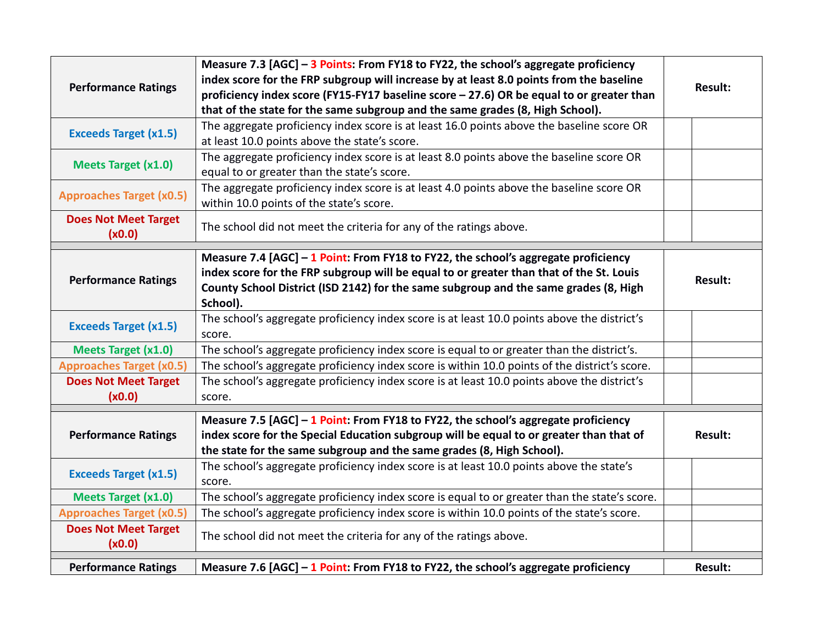|                                 | Measure 7.3 [AGC] - 3 Points: From FY18 to FY22, the school's aggregate proficiency           |                |
|---------------------------------|-----------------------------------------------------------------------------------------------|----------------|
| <b>Performance Ratings</b>      | index score for the FRP subgroup will increase by at least 8.0 points from the baseline       | <b>Result:</b> |
|                                 | proficiency index score (FY15-FY17 baseline score - 27.6) OR be equal to or greater than      |                |
|                                 | that of the state for the same subgroup and the same grades (8, High School).                 |                |
| <b>Exceeds Target (x1.5)</b>    | The aggregate proficiency index score is at least 16.0 points above the baseline score OR     |                |
|                                 | at least 10.0 points above the state's score.                                                 |                |
| <b>Meets Target (x1.0)</b>      | The aggregate proficiency index score is at least 8.0 points above the baseline score OR      |                |
|                                 | equal to or greater than the state's score.                                                   |                |
| <b>Approaches Target (x0.5)</b> | The aggregate proficiency index score is at least 4.0 points above the baseline score OR      |                |
|                                 | within 10.0 points of the state's score.                                                      |                |
| <b>Does Not Meet Target</b>     | The school did not meet the criteria for any of the ratings above.                            |                |
| (x0.0)                          |                                                                                               |                |
|                                 | Measure 7.4 $[AGC] - 1$ Point: From FY18 to FY22, the school's aggregate proficiency          |                |
|                                 | index score for the FRP subgroup will be equal to or greater than that of the St. Louis       |                |
| <b>Performance Ratings</b>      | County School District (ISD 2142) for the same subgroup and the same grades (8, High          | <b>Result:</b> |
|                                 | School).                                                                                      |                |
|                                 | The school's aggregate proficiency index score is at least 10.0 points above the district's   |                |
| <b>Exceeds Target (x1.5)</b>    | score.                                                                                        |                |
| <b>Meets Target (x1.0)</b>      | The school's aggregate proficiency index score is equal to or greater than the district's.    |                |
| <b>Approaches Target (x0.5)</b> | The school's aggregate proficiency index score is within 10.0 points of the district's score. |                |
| <b>Does Not Meet Target</b>     | The school's aggregate proficiency index score is at least 10.0 points above the district's   |                |
| (x0.0)                          | score.                                                                                        |                |
|                                 | Measure 7.5 $[AGC] - 1$ Point: From FY18 to FY22, the school's aggregate proficiency          |                |
| <b>Performance Ratings</b>      | index score for the Special Education subgroup will be equal to or greater than that of       | <b>Result:</b> |
|                                 | the state for the same subgroup and the same grades (8, High School).                         |                |
|                                 | The school's aggregate proficiency index score is at least 10.0 points above the state's      |                |
| <b>Exceeds Target (x1.5)</b>    | score.                                                                                        |                |
| <b>Meets Target (x1.0)</b>      | The school's aggregate proficiency index score is equal to or greater than the state's score. |                |
| <b>Approaches Target (x0.5)</b> | The school's aggregate proficiency index score is within 10.0 points of the state's score.    |                |
| <b>Does Not Meet Target</b>     |                                                                                               |                |
| (x0.0)                          | The school did not meet the criteria for any of the ratings above.                            |                |
|                                 |                                                                                               |                |
| <b>Performance Ratings</b>      | Measure 7.6 $[AGC] - 1$ Point: From FY18 to FY22, the school's aggregate proficiency          | <b>Result:</b> |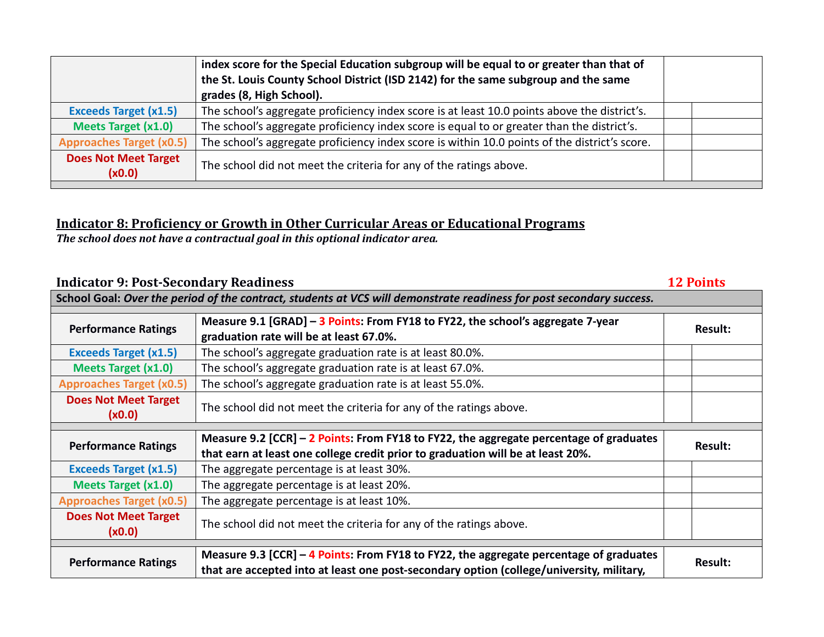|                                       | index score for the Special Education subgroup will be equal to or greater than that of<br>the St. Louis County School District (ISD 2142) for the same subgroup and the same<br>grades (8, High School). |  |
|---------------------------------------|-----------------------------------------------------------------------------------------------------------------------------------------------------------------------------------------------------------|--|
| <b>Exceeds Target (x1.5)</b>          | The school's aggregate proficiency index score is at least 10.0 points above the district's.                                                                                                              |  |
| <b>Meets Target (x1.0)</b>            | The school's aggregate proficiency index score is equal to or greater than the district's.                                                                                                                |  |
| <b>Approaches Target (x0.5)</b>       | The school's aggregate proficiency index score is within 10.0 points of the district's score.                                                                                                             |  |
| <b>Does Not Meet Target</b><br>(x0.0) | The school did not meet the criteria for any of the ratings above.                                                                                                                                        |  |

#### **Indicator 8: Proficiency or Growth in Other Curricular Areas or Educational Programs**

*The school does not have a contractual goal in this optional indicator area.*

## **Indicator 9: Post-Secondary Readiness 12 Points**

| School Goal: Over the period of the contract, students at VCS will demonstrate readiness for post secondary success. |                                                                                                                                                                                    |                |  |  |  |
|----------------------------------------------------------------------------------------------------------------------|------------------------------------------------------------------------------------------------------------------------------------------------------------------------------------|----------------|--|--|--|
| <b>Performance Ratings</b>                                                                                           | Measure 9.1 [GRAD] - 3 Points: From FY18 to FY22, the school's aggregate 7-year<br>graduation rate will be at least 67.0%.                                                         | Result:        |  |  |  |
| <b>Exceeds Target (x1.5)</b>                                                                                         | The school's aggregate graduation rate is at least 80.0%.                                                                                                                          |                |  |  |  |
| <b>Meets Target (x1.0)</b>                                                                                           | The school's aggregate graduation rate is at least 67.0%.                                                                                                                          |                |  |  |  |
| <b>Approaches Target (x0.5)</b>                                                                                      | The school's aggregate graduation rate is at least 55.0%.                                                                                                                          |                |  |  |  |
| <b>Does Not Meet Target</b><br>(x0.0)                                                                                | The school did not meet the criteria for any of the ratings above.                                                                                                                 |                |  |  |  |
|                                                                                                                      |                                                                                                                                                                                    |                |  |  |  |
| <b>Performance Ratings</b>                                                                                           | Measure 9.2 [CCR] – 2 Points: From FY18 to FY22, the aggregate percentage of graduates<br>that earn at least one college credit prior to graduation will be at least 20%.          | <b>Result:</b> |  |  |  |
| <b>Exceeds Target (x1.5)</b>                                                                                         | The aggregate percentage is at least 30%.                                                                                                                                          |                |  |  |  |
| <b>Meets Target (x1.0)</b>                                                                                           | The aggregate percentage is at least 20%.                                                                                                                                          |                |  |  |  |
| <b>Approaches Target (x0.5)</b>                                                                                      | The aggregate percentage is at least 10%.                                                                                                                                          |                |  |  |  |
| <b>Does Not Meet Target</b><br>(x0.0)                                                                                | The school did not meet the criteria for any of the ratings above.                                                                                                                 |                |  |  |  |
| <b>Performance Ratings</b>                                                                                           | Measure 9.3 [CCR] – 4 Points: From FY18 to FY22, the aggregate percentage of graduates<br>that are accepted into at least one post-secondary option (college/university, military, | <b>Result:</b> |  |  |  |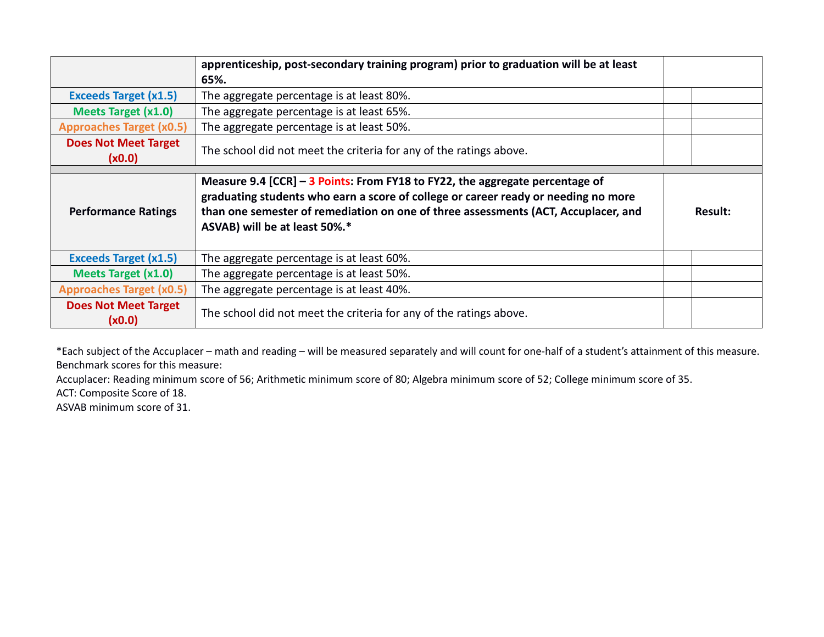|                                       | apprenticeship, post-secondary training program) prior to graduation will be at least<br>65%.                                                                                                                                                                                             |                |
|---------------------------------------|-------------------------------------------------------------------------------------------------------------------------------------------------------------------------------------------------------------------------------------------------------------------------------------------|----------------|
| <b>Exceeds Target (x1.5)</b>          | The aggregate percentage is at least 80%.                                                                                                                                                                                                                                                 |                |
| <b>Meets Target (x1.0)</b>            | The aggregate percentage is at least 65%.                                                                                                                                                                                                                                                 |                |
| <b>Approaches Target (x0.5)</b>       | The aggregate percentage is at least 50%.                                                                                                                                                                                                                                                 |                |
| <b>Does Not Meet Target</b><br>(x0.0) | The school did not meet the criteria for any of the ratings above.                                                                                                                                                                                                                        |                |
| <b>Performance Ratings</b>            | Measure 9.4 [CCR] - 3 Points: From FY18 to FY22, the aggregate percentage of<br>graduating students who earn a score of college or career ready or needing no more<br>than one semester of remediation on one of three assessments (ACT, Accuplacer, and<br>ASVAB) will be at least 50%.* | <b>Result:</b> |
| <b>Exceeds Target (x1.5)</b>          | The aggregate percentage is at least 60%.                                                                                                                                                                                                                                                 |                |
| <b>Meets Target (x1.0)</b>            | The aggregate percentage is at least 50%.                                                                                                                                                                                                                                                 |                |
| <b>Approaches Target (x0.5)</b>       | The aggregate percentage is at least 40%.                                                                                                                                                                                                                                                 |                |
| <b>Does Not Meet Target</b><br>(x0.0) | The school did not meet the criteria for any of the ratings above.                                                                                                                                                                                                                        |                |

\*Each subject of the Accuplacer – math and reading – will be measured separately and will count for one-half of a student's attainment of this measure. Benchmark scores for this measure:

Accuplacer: Reading minimum score of 56; Arithmetic minimum score of 80; Algebra minimum score of 52; College minimum score of 35.

ACT: Composite Score of 18.

ASVAB minimum score of 31.